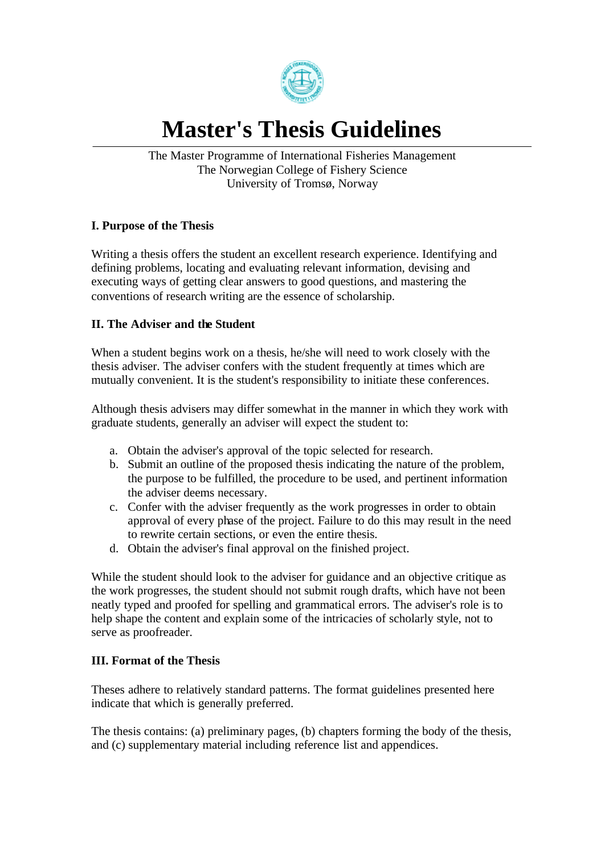

# **Master's Thesis Guidelines**

The Master Programme of International Fisheries Management The Norwegian College of Fishery Science University of Tromsø, Norway

## **I. Purpose of the Thesis**

Writing a thesis offers the student an excellent research experience. Identifying and defining problems, locating and evaluating relevant information, devising and executing ways of getting clear answers to good questions, and mastering the conventions of research writing are the essence of scholarship.

## **II. The Adviser and the Student**

When a student begins work on a thesis, he/she will need to work closely with the thesis adviser. The adviser confers with the student frequently at times which are mutually convenient. It is the student's responsibility to initiate these conferences.

Although thesis advisers may differ somewhat in the manner in which they work with graduate students, generally an adviser will expect the student to:

- a. Obtain the adviser's approval of the topic selected for research.
- b. Submit an outline of the proposed thesis indicating the nature of the problem, the purpose to be fulfilled, the procedure to be used, and pertinent information the adviser deems necessary.
- c. Confer with the adviser frequently as the work progresses in order to obtain approval of every phase of the project. Failure to do this may result in the need to rewrite certain sections, or even the entire thesis.
- d. Obtain the adviser's final approval on the finished project.

While the student should look to the adviser for guidance and an objective critique as the work progresses, the student should not submit rough drafts, which have not been neatly typed and proofed for spelling and grammatical errors. The adviser's role is to help shape the content and explain some of the intricacies of scholarly style, not to serve as proofreader.

## **III. Format of the Thesis**

Theses adhere to relatively standard patterns. The format guidelines presented here indicate that which is generally preferred.

The thesis contains: (a) preliminary pages, (b) chapters forming the body of the thesis, and (c) supplementary material including reference list and appendices.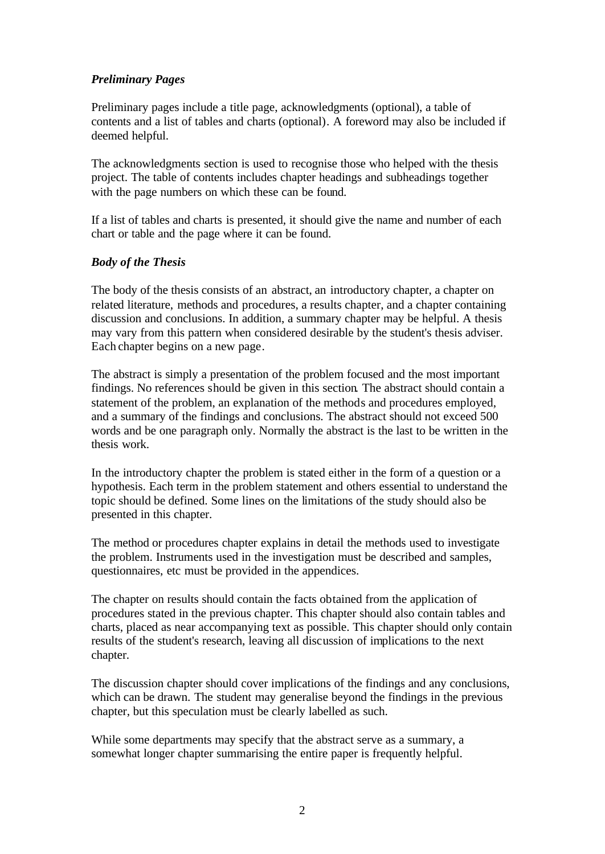#### *Preliminary Pages*

Preliminary pages include a title page, acknowledgments (optional), a table of contents and a list of tables and charts (optional). A foreword may also be included if deemed helpful.

The acknowledgments section is used to recognise those who helped with the thesis project. The table of contents includes chapter headings and subheadings together with the page numbers on which these can be found.

If a list of tables and charts is presented, it should give the name and number of each chart or table and the page where it can be found.

#### *Body of the Thesis*

The body of the thesis consists of an abstract, an introductory chapter, a chapter on related literature, methods and procedures, a results chapter, and a chapter containing discussion and conclusions. In addition, a summary chapter may be helpful. A thesis may vary from this pattern when considered desirable by the student's thesis adviser. Each chapter begins on a new page.

The abstract is simply a presentation of the problem focused and the most important findings. No references should be given in this section. The abstract should contain a statement of the problem, an explanation of the methods and procedures employed, and a summary of the findings and conclusions. The abstract should not exceed 500 words and be one paragraph only. Normally the abstract is the last to be written in the thesis work.

In the introductory chapter the problem is stated either in the form of a question or a hypothesis. Each term in the problem statement and others essential to understand the topic should be defined. Some lines on the limitations of the study should also be presented in this chapter.

The method or procedures chapter explains in detail the methods used to investigate the problem. Instruments used in the investigation must be described and samples, questionnaires, etc must be provided in the appendices.

The chapter on results should contain the facts obtained from the application of procedures stated in the previous chapter. This chapter should also contain tables and charts, placed as near accompanying text as possible. This chapter should only contain results of the student's research, leaving all discussion of implications to the next chapter.

The discussion chapter should cover implications of the findings and any conclusions, which can be drawn. The student may generalise beyond the findings in the previous chapter, but this speculation must be clearly labelled as such.

While some departments may specify that the abstract serve as a summary, a somewhat longer chapter summarising the entire paper is frequently helpful.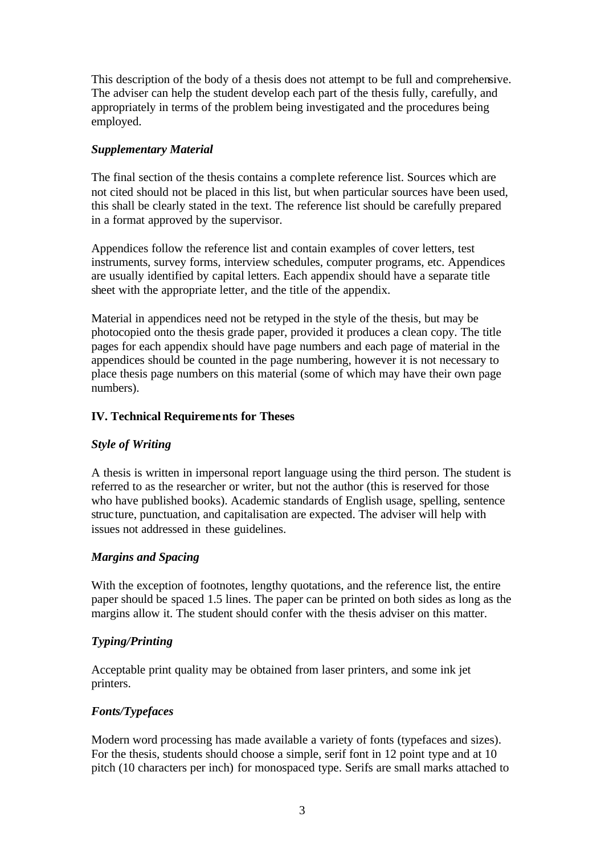This description of the body of a thesis does not attempt to be full and comprehensive. The adviser can help the student develop each part of the thesis fully, carefully, and appropriately in terms of the problem being investigated and the procedures being employed.

## *Supplementary Material*

The final section of the thesis contains a complete reference list. Sources which are not cited should not be placed in this list, but when particular sources have been used, this shall be clearly stated in the text. The reference list should be carefully prepared in a format approved by the supervisor.

Appendices follow the reference list and contain examples of cover letters, test instruments, survey forms, interview schedules, computer programs, etc. Appendices are usually identified by capital letters. Each appendix should have a separate title sheet with the appropriate letter, and the title of the appendix.

Material in appendices need not be retyped in the style of the thesis, but may be photocopied onto the thesis grade paper, provided it produces a clean copy. The title pages for each appendix should have page numbers and each page of material in the appendices should be counted in the page numbering, however it is not necessary to place thesis page numbers on this material (some of which may have their own page numbers).

## **IV. Technical Requirements for Theses**

## *Style of Writing*

A thesis is written in impersonal report language using the third person. The student is referred to as the researcher or writer, but not the author (this is reserved for those who have published books). Academic standards of English usage, spelling, sentence structure, punctuation, and capitalisation are expected. The adviser will help with issues not addressed in these guidelines.

# *Margins and Spacing*

With the exception of footnotes, lengthy quotations, and the reference list, the entire paper should be spaced 1.5 lines. The paper can be printed on both sides as long as the margins allow it. The student should confer with the thesis adviser on this matter.

# *Typing/Printing*

Acceptable print quality may be obtained from laser printers, and some ink jet printers.

# *Fonts/Typefaces*

Modern word processing has made available a variety of fonts (typefaces and sizes). For the thesis, students should choose a simple, serif font in 12 point type and at 10 pitch (10 characters per inch) for monospaced type. Serifs are small marks attached to